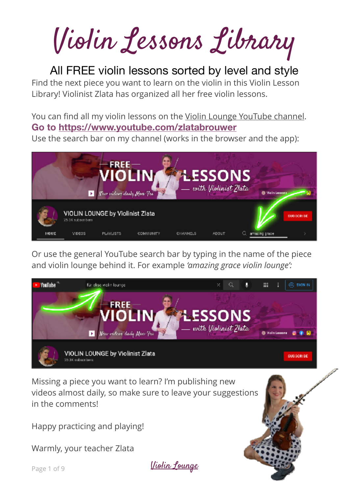Violin Lessons Library

All FREE violin lessons sorted by level and style Find the next piece you want to learn on the violin in this Violin Lesson Library! Violinist Zlata has organized all her free violin lessons.

You can find all my violin lessons on the [Violin Lounge YouTube channel](https://www.youtube.com/zlatabrouwer). **Go to<https://www.youtube.com/zlatabrouwer>**

Use the search bar on my channel (works in the browser and the app):



Or use the general YouTube search bar by typing in the name of the piece and violin lounge behind it. For example *'amazing grace violin lounge':*



Missing a piece you want to learn? I'm publishing new videos almost daily, so make sure to leave your suggestions in the comments!

Happy practicing and playing!

Warmly, your teacher Zlata

Page 1 of 9 [Violin Lounge](http://violinlounge.com)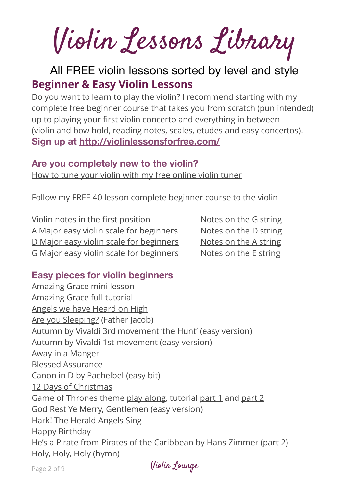Violin Lessons Library

# All FREE violin lessons sorted by level and style **Beginner & Easy Violin Lessons**

Do you want to learn to play the violin? I recommend starting with my complete free beginner course that takes you from scratch (pun intended) up to playing your first violin concerto and everything in between (violin and bow hold, reading notes, scales, etudes and easy concertos). **Sign up at<http://violinlessonsforfree.com/>**

#### **Are you completely new to the violin?**

[How to tune your violin with my free online violin tuner](https://violinlounge.com/free-online-violin-tuner-with-mic-and-tuning-notes/)

#### [Follow my FREE 40 lesson complete beginner course to the violin](https://www.youtube.com/playlist?list=PLVBTuGvv2_iZG13XSIXJPLGSWENu6pn3s)

[Violin notes in the](https://www.youtube.com/shorts/RVDKxd3AeQI) first position [Notes on the G string](https://www.youtube.com/shorts/oTZDvWEFwQI) [A Major easy violin scale for beginners](https://www.youtube.com/shorts/eevwqpSM2KA) [Notes on the D string](https://www.youtube.com/shorts/bKzyBiBMmDA) [D Major easy violin scale for beginners](https://www.youtube.com/shorts/DbfiO-72Mdo) [Notes on the A string](https://www.youtube.com/shorts/bxiLcReIdFg) [G Major easy violin scale for beginners](https://www.youtube.com/shorts/iVQJIpYeb4g) [Notes on the E string](https://www.youtube.com/shorts/DavBiQfpwVo)

#### **Easy pieces for violin beginners**

[Amazing Grace](https://www.youtube.com/shorts/lm7dnxoeZ8A) mini lesson [Amazing Grace](https://www.youtube.com/watch?v=X85fNxkfNcE&t=101s) full tutorial [Angels we have Heard on High](https://www.youtube.com/shorts/L3j5_On4yFY) [Are you Sleeping?](https://www.youtube.com/shorts/CDxhhS0rxcQ) (Father Jacob) [Autumn by Vivaldi 3rd movement 'the Hunt'](https://www.youtube.com/watch?v=nH2-csou5ww) (easy version) [Autumn by Vivaldi 1st movement](https://www.youtube.com/watch?v=_GzkaSir-eA) (easy version) [Away in a Manger](https://www.youtube.com/watch?v=XUwfM1k_seI&t=67s) [Blessed Assurance](https://www.youtube.com/watch?v=f7i12vdUp94) [Canon in D by Pachelbel](https://www.youtube.com/shorts/Wk-8U5dT_JE) (easy bit) [12 Days of Christmas](https://www.youtube.com/watch?v=M4bLDORqW8M&t=1s) Game of Thrones theme [play along,](https://www.youtube.com/shorts/ijsmnLn1suc) tutorial [part 1](https://www.youtube.com/shorts/BnaTcMXP1dk) and [part 2](https://www.youtube.com/shorts/VsINNTYgYVQ) [God Rest Ye Merry, Gentlemen](https://www.youtube.com/shorts/S9Wa1bs_FWk) (easy version) [Hark! The Herald Angels Sing](https://www.youtube.com/watch?v=8U49IKStI-M&t=14s) [Happy Birthday](https://www.youtube.com/shorts/5ZaeYvAIEZ0) [He's a Pirate from Pirates of the Caribbean by Hans Zimmer](https://www.youtube.com/watch?v=iWGJL_qqNMM) ([part 2](https://www.youtube.com/watch?v=812121bx8DE)) [Holy, Holy, Holy](https://www.youtube.com/watch?v=DxWvl4e3CNQ) (hymn)

Page 2 of 9 [Violin Lounge](http://violinlounge.com)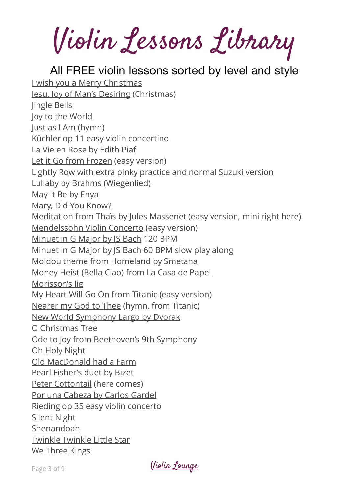Violin Lessons Library

All FREE violin lessons sorted by level and style [I wish you a Merry Christmas](https://violinlounge.com/how-to-play-i-wish-you-a-merry-christmas-on-the-violin/) [Jesu, Joy of Man's Desiring](https://www.youtube.com/watch?v=eV232vYFAqI&t=1s) (Christmas) [Jingle Bells](https://violinlounge.com/how-to-play-jingle-bells-on-the-violin-playful-pizz-and-bow-version/) [Joy to the World](https://www.youtube.com/watch?v=bzYsCpvHicg&t=2s) [Just as I Am](https://www.youtube.com/shorts/_9RwvzCbpSk) (hymn) [Küchler op 11 easy violin concertino](https://www.youtube.com/watch?v=iqQxOEjqh4s&list=PLVBTuGvv2_iZG13XSIXJPLGSWENu6pn3s&index=19&t=394s) [La Vie en Rose by Edith Piaf](https://www.youtube.com/watch?v=vt6MC6ivifE) [Let it Go from Frozen](https://www.youtube.com/watch?v=jz4AhUxCXzY) (easy version) [Lightly Row](https://www.youtube.com/shorts/7N0kMg2pW5o) with extra pinky practice and [normal Suzuki version](https://www.youtube.com/shorts/vW0DaUefyAk) [Lullaby by Brahms \(Wiegenlied\)](https://www.youtube.com/shorts/pDyOy3RREKQ) [May It Be by Enya](https://violinlounge.com/how-to-play-may-it-be-by-enya-on-the-violin-from-lord-of-the-rings/) [Mary, Did You Know?](https://www.youtube.com/watch?v=E7z3VkhmoCM) [Meditation from Thaïs by Jules Massenet](https://www.youtube.com/watch?v=vUlr9tttGB4) (easy version, mini [right here\)](https://www.youtube.com/shorts/f73A_G6pVyU) [Mendelssohn Violin Concerto](https://www.youtube.com/watch?v=VLGyf6Pcwwo) (easy version) [Minuet in G Major by JS Bach](https://www.youtube.com/watch?v=gHMQeo2weOs) 120 BPM [Minuet in G Major by JS Bach](https://www.youtube.com/watch?v=YuZeV9CFNVM) 60 BPM slow play along [Moldou theme from Homeland by Smetana](https://www.youtube.com/watch?v=eSBx2HCjYCk) [Money Heist \(Bella Ciao\) from La Casa de Papel](https://www.youtube.com/shorts/PTkDbO4e1pM) [Morisson's Jig](https://www.youtube.com/watch?v=u7vRZTh-aRk) [My Heart Will Go On from Titanic](https://www.youtube.com/watch?v=ybzkfmC8psA) (easy version) [Nearer my God to Thee](https://www.youtube.com/watch?v=NeWa19CtOBw) (hymn, from Titanic) [New World Symphony Largo by Dvorak](https://violinlounge.com/how-to-play-the-largo-from-dvoraks-new-world-symphony-on-the-violin/) [O Christmas Tree](https://www.youtube.com/watch?v=PUZ7WASNAKI&t=2s) [Ode to Joy from Beethoven's 9th Symphony](https://www.youtube.com/shorts/H9R9M6VlX8Q) [Oh Holy Night](https://www.youtube.com/watch?v=FtXQB_VC5S8) [Old MacDonald had a Farm](https://www.youtube.com/shorts/3BGLFKKDCDs) [Pearl Fisher's duet by Bizet](https://violinlounge.com/how-to-play-the-pearl-fishers-duet-by-bizet-on-the-violin/) [Peter Cottontail](https://www.youtube.com/shorts/g3v3Cr9D1hQ) (here comes) [Por una Cabeza by Carlos Gardel](https://www.youtube.com/shorts/sJBpTBNoC1U) [Rieding op 35](https://www.youtube.com/watch?v=Su9sIu_8aDs&list=PLVBTuGvv2_iZG13XSIXJPLGSWENu6pn3s&index=37&t=6s) easy violin concerto [Silent Night](https://www.youtube.com/watch?v=78Qb__Dnrs4&t=77s) [Shenandoah](https://violinlounge.com/how-to-play-shenandoah-on-the-violin/) [Twinkle Twinkle Little Star](https://www.youtube.com/shorts/IHTOop5ukBE) [We Three Kings](https://www.youtube.com/watch?v=c2iA6Sux-0I)

Page 3 of 9 [Violin Lounge](http://violinlounge.com)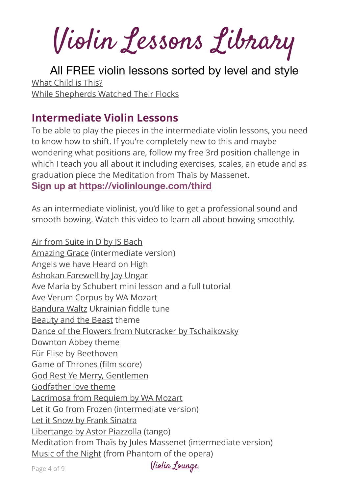Violin Lessons Library

All FREE violin lessons sorted by level and style [What Child is This?](https://www.youtube.com/shorts/LUlOVIzruRg) [While Shepherds Watched Their Flocks](https://www.youtube.com/watch?v=_ihKjm-TBrM)

## **Intermediate Violin Lessons**

To be able to play the pieces in the intermediate violin lessons, you need to know how to shift. If you're completely new to this and maybe wondering what positions are, follow my free 3rd position challenge in which I teach you all about it including exercises, scales, an etude and as graduation piece the Meditation from Thaïs by Massenet. **Sign up at<https://violinlounge.com/third>** 

As an intermediate violinist, you'd like to get a professional sound and smooth bowing. [Watch this video to learn all about bowing smoothly.](https://violinlounge.com/how-to-bow-smoothly-on-the-violin-close-up-slow-motion-violin-lounge-tv-453/)

[Air from Suite in D by JS Bach](https://www.youtube.com/watch?v=9_RvbQJbZ34&t=1s) [Amazing Grace](https://www.youtube.com/watch?v=tXU_f-bUA58&t=40s) (intermediate version) [Angels we have Heard on High](https://www.youtube.com/watch?v=KxoMbzq92Fc) [Ashokan Farewell by Jay Ungar](https://www.youtube.com/shorts/joTEb_K-7_g) [Ave Maria by Schubert](https://www.youtube.com/shorts/8W2okvLdnY8) mini lesson and a [full tutorial](https://www.youtube.com/watch?v=VuNFwf0rzRM) [Ave Verum Corpus by WA Mozart](https://www.youtube.com/watch?v=oNI1VEzm1eY) [Bandura Waltz](https://violinlounge.com/bandura/) Ukrainian fiddle tune [Beauty and the Beast](https://www.youtube.com/watch?v=FOYI0Rt-xt4&t=6s) theme [Dance of the Flowers from Nutcracker by Tschaikovsky](https://www.youtube.com/shorts/JECd1ELP1Ks) [Downton Abbey theme](https://violinlounge.com/downton-abbey-theme-violin-tutorial-violin-lounge-tv-333/) [Für Elise by Beethoven](https://www.youtube.com/watch?v=uK3hzdSIiQQ) [Game of Thrones](https://www.youtube.com/shorts/cyHN4zRrRWk) (film score) [God Rest Ye Merry, Gentlemen](https://www.youtube.com/watch?v=ZwwcmTeB1EQ) [Godfather love theme](https://www.youtube.com/shorts/8gLaJ20ljOM) [Lacrimosa from Requiem by WA Mozart](https://www.youtube.com/shorts/chku1Crclro) [Let it Go from Frozen](https://www.youtube.com/watch?v=V0kMM5kjBRQ) (intermediate version) [Let it Snow by Frank Sinatra](https://youtu.be/eHeStZjeLFQ) [Libertango by Astor Piazzolla](https://www.youtube.com/shorts/U4xU450O_-A) (tango) [Meditation from Thaïs by Jules Massenet](https://www.youtube.com/watch?v=A4bjsDOkspA) (intermediate version) [Music of the Night](https://www.youtube.com/watch?v=JeJTKWhTZJY) (from Phantom of the opera)

Page 4 of 9 [Violin Lounge](http://violinlounge.com)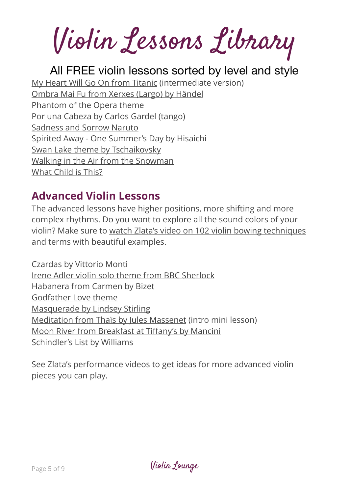Violin Lessons Library

## All FREE violin lessons sorted by level and style

[My Heart Will Go On from Titanic](https://www.youtube.com/watch?v=fc5nG7MIMMI) (intermediate version)

[Ombra Mai Fu from Xerxes \(Largo\) by Händel](https://www.youtube.com/shorts/WrtClWKTG4c) [Phantom of the Opera theme](https://www.youtube.com/shorts/5jVynuXHfDw) [Por una Cabeza by Carlos Gardel](https://www.youtube.com/watch?v=41hw0GRpWIk) (tango) [Sadness and Sorrow Naruto](https://violinlounge.com/sadness-and-sorrow-naruto-violin-tutorial-violin-lounge-tv-463/)

[Spirited Away - One Summer's Day by Hisaichi](https://www.youtube.com/shorts/5vIIV6E1BQQ)

[Swan Lake theme by Tschaikovsky](https://www.youtube.com/shorts/WV3vRJTsB7A)

[Walking in the Air from the Snowman](https://www.youtube.com/watch?v=ReQILInKSLA)

[What Child is This?](https://www.youtube.com/watch?v=PRojJx-4KA0)

# **Advanced Violin Lessons**

The advanced lessons have higher positions, more shifting and more complex rhythms. Do you want to explore all the sound colors of your violin? Make sure to [watch Zlata's video on 102 violin bowing techniques](https://violinlounge.com/violin-bowing-techniques/) and terms with beautiful examples.

[Czardas by Vittorio Monti](https://www.youtube.com/watch?v=i18SplDLk90) [Irene Adler violin solo theme from BBC Sherlock](https://www.youtube.com/shorts/XttIV2OYA80) [Habanera from Carmen by Bizet](https://www.youtube.com/watch?v=ESgbag-ad2s) [Godfather Love theme](https://violinlounge.com/how-to-play-the-godfather-love-theme-on-the-violin-violin-lounge-tv-336/) [Masquerade by Lindsey Stirling](https://www.youtube.com/watch?v=rfkmJUfe5O8&t=55s) [Meditation from Thaïs by Jules Massenet](https://www.youtube.com/shorts/ovG8MfBRG_c) (intro mini lesson) [Moon River from Breakfast at Ti](https://www.youtube.com/shorts/Eqs1hnM3r9Y)ffany's by Mancini [Schindler's List by Williams](https://www.youtube.com/watch?v=5kaBFXyHRbc&t=511s)

[See Zlata's performance videos](http://www.apple.com) to get ideas for more advanced violin pieces you can play.

Page 5 of 9 [Violin Lounge](http://violinlounge.com)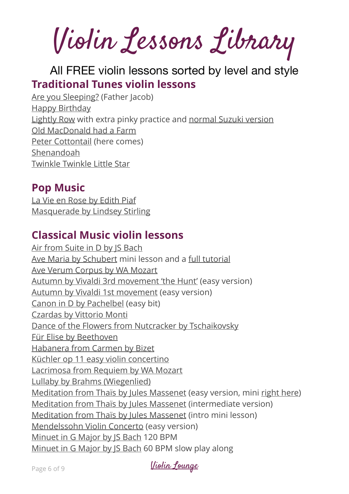Violin Lessons Library

# All FREE violin lessons sorted by level and style **Traditional Tunes violin lessons**

[Are you Sleeping?](https://www.youtube.com/shorts/CDxhhS0rxcQ) (Father Jacob) [Happy Birthday](https://www.youtube.com/shorts/5ZaeYvAIEZ0) [Lightly Row](https://www.youtube.com/shorts/7N0kMg2pW5o) with extra pinky practice and [normal Suzuki version](https://www.youtube.com/shorts/vW0DaUefyAk) [Old MacDonald had a Farm](https://www.youtube.com/shorts/3BGLFKKDCDs) [Peter Cottontail](https://www.youtube.com/shorts/g3v3Cr9D1hQ) (here comes) [Shenandoah](https://violinlounge.com/how-to-play-shenandoah-on-the-violin/) [Twinkle Twinkle Little Star](https://www.youtube.com/shorts/IHTOop5ukBE)

# **Pop Music**

[La Vie en Rose by Edith Piaf](https://www.youtube.com/watch?v=vt6MC6ivifE) [Masquerade by Lindsey Stirling](https://www.youtube.com/watch?v=rfkmJUfe5O8&t=55s)

# **Classical Music violin lessons**

[Air from Suite in D by JS Bach](https://www.youtube.com/watch?v=9_RvbQJbZ34&t=1s) [Ave Maria by Schubert](https://www.youtube.com/shorts/8W2okvLdnY8) mini lesson and a [full tutorial](https://www.youtube.com/watch?v=VuNFwf0rzRM) [Ave Verum Corpus by WA Mozart](https://www.youtube.com/watch?v=oNI1VEzm1eY) [Autumn by Vivaldi 3rd movement 'the Hunt'](https://www.youtube.com/watch?v=nH2-csou5ww) (easy version) [Autumn by Vivaldi 1st movement](https://www.youtube.com/watch?v=_GzkaSir-eA) (easy version) [Canon in D by Pachelbel](https://www.youtube.com/shorts/Wk-8U5dT_JE) (easy bit) [Czardas by Vittorio Monti](https://www.youtube.com/watch?v=i18SplDLk90) [Dance of the Flowers from Nutcracker by Tschaikovsky](https://www.youtube.com/shorts/JECd1ELP1Ks) [Für Elise by Beethoven](https://www.youtube.com/watch?v=uK3hzdSIiQQ) [Habanera from Carmen by Bizet](https://www.youtube.com/watch?v=ESgbag-ad2s) [Küchler op 11 easy violin concertino](https://www.youtube.com/watch?v=iqQxOEjqh4s&list=PLVBTuGvv2_iZG13XSIXJPLGSWENu6pn3s&index=19&t=394s) [Lacrimosa from Requiem by WA Mozart](https://www.youtube.com/shorts/chku1Crclro) [Lullaby by Brahms \(Wiegenlied\)](https://www.youtube.com/shorts/pDyOy3RREKQ) [Meditation from Thaïs by Jules Massenet](https://www.youtube.com/watch?v=vUlr9tttGB4) (easy version, mini [right here\)](https://www.youtube.com/shorts/f73A_G6pVyU) [Meditation from Thaïs by Jules Massenet](https://www.youtube.com/watch?v=A4bjsDOkspA) (intermediate version) [Meditation from Thaïs by Jules Massenet](https://www.youtube.com/shorts/ovG8MfBRG_c) (intro mini lesson) [Mendelssohn Violin Concerto](https://www.youtube.com/watch?v=VLGyf6Pcwwo) (easy version) [Minuet in G Major by JS Bach](https://www.youtube.com/watch?v=gHMQeo2weOs) 120 BPM [Minuet in G Major by JS Bach](https://www.youtube.com/watch?v=YuZeV9CFNVM) 60 BPM slow play along

Page 6 of 9 [Violin Lounge](http://violinlounge.com)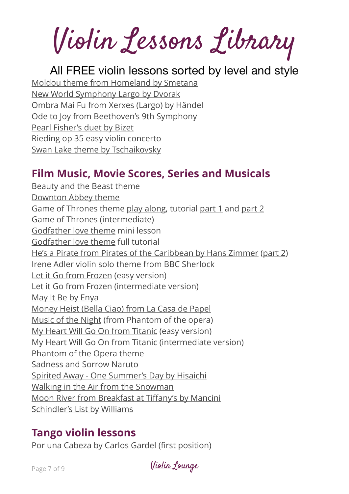Violin Lessons Library

### All FREE violin lessons sorted by level and style

[Moldou theme from Homeland by Smetana](https://www.youtube.com/watch?v=eSBx2HCjYCk) [New World Symphony Largo by Dvorak](https://violinlounge.com/how-to-play-the-largo-from-dvoraks-new-world-symphony-on-the-violin/) [Ombra Mai Fu from Xerxes \(Largo\) by Händel](https://www.youtube.com/shorts/WrtClWKTG4c) [Ode to Joy from Beethoven's 9th Symphony](https://www.youtube.com/shorts/H9R9M6VlX8Q) [Pearl Fisher's duet by Bizet](https://violinlounge.com/how-to-play-the-pearl-fishers-duet-by-bizet-on-the-violin/) [Rieding op 35](https://www.youtube.com/watch?v=Su9sIu_8aDs&list=PLVBTuGvv2_iZG13XSIXJPLGSWENu6pn3s&index=37&t=6s) easy violin concerto [Swan Lake theme by Tschaikovsky](https://www.youtube.com/shorts/WV3vRJTsB7A)

# **Film Music, Movie Scores, Series and Musicals**

[Beauty and the Beast](https://www.youtube.com/watch?v=FOYI0Rt-xt4&t=6s) theme [Downton Abbey theme](https://violinlounge.com/downton-abbey-theme-violin-tutorial-violin-lounge-tv-333/) Game of Thrones theme [play along,](https://www.youtube.com/shorts/ijsmnLn1suc) tutorial [part 1](https://www.youtube.com/shorts/BnaTcMXP1dk) and [part 2](https://www.youtube.com/shorts/VsINNTYgYVQ) [Game of Thrones](https://www.youtube.com/shorts/cyHN4zRrRWk) (intermediate) [Godfather love theme](https://www.youtube.com/shorts/8gLaJ20ljOM) mini lesson [Godfather love theme](https://violinlounge.com/how-to-play-the-godfather-love-theme-on-the-violin-violin-lounge-tv-336/) full tutorial [He's a Pirate from Pirates of the Caribbean by Hans Zimmer](https://www.youtube.com/watch?v=iWGJL_qqNMM) ([part 2](https://www.youtube.com/watch?v=812121bx8DE)) [Irene Adler violin solo theme from BBC Sherlock](https://www.youtube.com/shorts/XttIV2OYA80) [Let it Go from Frozen](https://www.youtube.com/watch?v=jz4AhUxCXzY) (easy version) [Let it Go from Frozen](https://www.youtube.com/watch?v=V0kMM5kjBRQ) (intermediate version) [May It Be by Enya](https://violinlounge.com/how-to-play-may-it-be-by-enya-on-the-violin-from-lord-of-the-rings/) [Money Heist \(Bella Ciao\) from La Casa de Papel](https://www.youtube.com/shorts/PTkDbO4e1pM) [Music of the Night](https://www.youtube.com/watch?v=JeJTKWhTZJY) (from Phantom of the opera) [My Heart Will Go On from Titanic](https://www.youtube.com/watch?v=ybzkfmC8psA) (easy version) [My Heart Will Go On from Titanic](https://www.youtube.com/watch?v=fc5nG7MIMMI) (intermediate version) [Phantom of the Opera theme](https://www.youtube.com/shorts/5jVynuXHfDw) [Sadness and Sorrow Naruto](https://violinlounge.com/sadness-and-sorrow-naruto-violin-tutorial-violin-lounge-tv-463/) [Spirited Away - One Summer's Day by Hisaichi](https://www.youtube.com/shorts/5vIIV6E1BQQ) [Walking in the Air from the Snowman](https://www.youtube.com/watch?v=ReQILInKSLA) [Moon River from Breakfast at Ti](https://www.youtube.com/shorts/Eqs1hnM3r9Y)ffany's by Mancini [Schindler's List by Williams](https://www.youtube.com/watch?v=5kaBFXyHRbc&t=511s)

# **Tango violin lessons**

[Por una Cabeza by Carlos Gardel](https://www.youtube.com/shorts/sJBpTBNoC1U) (first position)

Page 7 of 9 [Violin Lounge](http://violinlounge.com)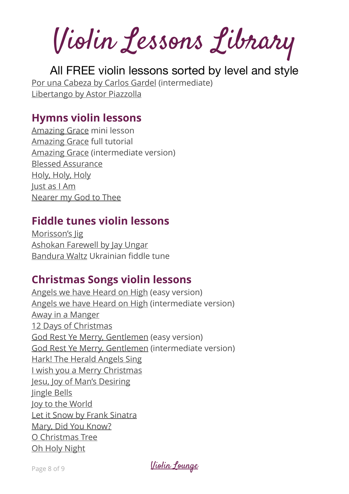Violin Lessons Library

All FREE violin lessons sorted by level and style [Por una Cabeza by Carlos Gardel](https://www.youtube.com/watch?v=41hw0GRpWIk) (intermediate) [Libertango by Astor Piazzolla](https://www.youtube.com/shorts/U4xU450O_-A)

### **Hymns violin lessons**

[Amazing Grace](https://www.youtube.com/shorts/lm7dnxoeZ8A) mini lesson [Amazing Grace](https://www.youtube.com/watch?v=X85fNxkfNcE&t=101s) full tutorial [Amazing Grace](https://www.youtube.com/watch?v=tXU_f-bUA58&t=40s) (intermediate version) [Blessed Assurance](https://www.youtube.com/watch?v=f7i12vdUp94) [Holy, Holy, Holy](https://www.youtube.com/watch?v=DxWvl4e3CNQ) [Just as I Am](https://www.youtube.com/shorts/_9RwvzCbpSk) [Nearer my God to Thee](https://www.youtube.com/watch?v=NeWa19CtOBw)

## **Fiddle tunes violin lessons**

[Morisson's Jig](https://www.youtube.com/watch?v=u7vRZTh-aRk) [Ashokan Farewell by Jay Ungar](https://www.youtube.com/shorts/joTEb_K-7_g) [Bandura Waltz](https://violinlounge.com/bandura/) Ukrainian fiddle tune

## **Christmas Songs violin lessons**

[Angels we have Heard on High](https://www.youtube.com/shorts/L3j5_On4yFY) (easy version) [Angels we have Heard on High](https://www.youtube.com/watch?v=KxoMbzq92Fc) (intermediate version) [Away in a Manger](https://www.youtube.com/watch?v=XUwfM1k_seI&t=67s) [12 Days of Christmas](https://www.youtube.com/watch?v=M4bLDORqW8M&t=1s) [God Rest Ye Merry, Gentlemen](https://www.youtube.com/shorts/S9Wa1bs_FWk) (easy version) [God Rest Ye Merry, Gentlemen](https://www.youtube.com/watch?v=ZwwcmTeB1EQ) (intermediate version) [Hark! The Herald Angels Sing](https://www.youtube.com/watch?v=8U49IKStI-M&t=14s) [I wish you a Merry Christmas](https://violinlounge.com/how-to-play-i-wish-you-a-merry-christmas-on-the-violin/) [Jesu, Joy of Man's Desiring](https://www.youtube.com/watch?v=eV232vYFAqI&t=1s) [Jingle Bells](https://violinlounge.com/how-to-play-jingle-bells-on-the-violin-playful-pizz-and-bow-version/) [Joy to the World](https://www.youtube.com/watch?v=bzYsCpvHicg&t=2s) [Let it Snow by Frank Sinatra](https://youtu.be/eHeStZjeLFQ) [Mary, Did You Know?](https://www.youtube.com/watch?v=E7z3VkhmoCM) [O Christmas Tree](https://www.youtube.com/watch?v=PUZ7WASNAKI&t=2s) [Oh Holy Night](https://www.youtube.com/watch?v=FtXQB_VC5S8)

Page 8 of 9 [Violin Lounge](http://violinlounge.com)